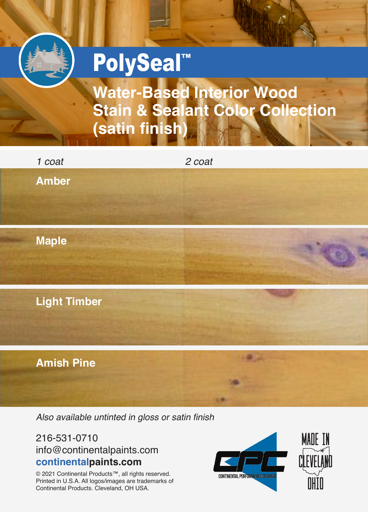

**Water-Based Interior Wood Stain & Sealant Color Collection (satin finish)**

| 1 coat              | 2 coat       |  |
|---------------------|--------------|--|
| <b>Amber</b>        |              |  |
| <b>Maple</b>        |              |  |
| <b>Light Timber</b> |              |  |
| <b>Amish Pine</b>   |              |  |
|                     | <b>THE R</b> |  |

Also available untinted in gloss or satin finish

# 216-531-0710 info@continentalpaints.com **continentalpaints.com**

© 2021 Continental Products™, all rights reserved. Printed in U.S.A. All logos/images are trademarks of Continental Products. Cleveland, OH USA.